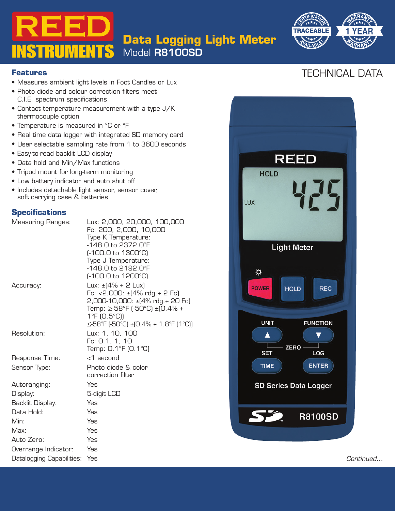**Data Logging Light Meter**

Model R8100SD



#### **Features**

- Measures ambient light levels in Foot Candles or Lux
- Photo diode and colour correction filters meet C.I.E. spectrum specifications
- Contact temperature measurement \<br>thermocouple option<br>• Temperature is measured in °C or °F • Contact temperature measurement with a type J/K thermocouple option
- 

**INSTRUMENTS** 

- Real time data logger with integrated SD memory card
- User selectable sampling rate from 1 to 3600 seconds
- Easy-to-read backlit LCD display
- Data hold and Min/Max functions
- Tripod mount for long-term monitoring
- Low battery indicator and auto shut off
- Includes detachable light sensor, sensor cover, soft carrying case & batteries

### **Specifications**

| <b>Measuring Ranges:</b>  | Lux: 2,000, 20,000, 100,000<br>Fc: 200, 2,000, 10,000                                                                                                                                                                   |                                                                             |           |
|---------------------------|-------------------------------------------------------------------------------------------------------------------------------------------------------------------------------------------------------------------------|-----------------------------------------------------------------------------|-----------|
|                           | Type K Temperature:<br>-148.0 to 2372.0°F<br>$[-100.0 \text{ to } 1300^{\circ}\text{C}]$<br>Type J Temperature:<br>-148.0 to 2192.0°F<br>$[-100.0 \text{ to } 1200^{\circ}\text{C}]$                                    | <b>Light Meter</b><br>⋫                                                     |           |
| Accuracy:                 | Lux: $\pm$ (4% + 2 Lux)<br>Fc: $<$ 2,000: $\pm$ (4% rdg. + 2 Fc)<br>2,000-10,000: ±(4% rdg.+ 20 Fc)<br>Temp: ≥-58°F (-50°C) ±(0.4% +<br>$1^{\circ}$ F (O.5 $^{\circ}$ C))<br>$\leq$ -58°F (-50°C) ±(0.4% + 1.8°F (1°C)) | <b>REC</b><br><b>POWER</b><br><b>HOLD</b><br><b>UNIT</b><br><b>FUNCTION</b> |           |
| Resolution:               | Lux: 1, 10, 100<br>Fc: 0.1, 1, 10<br>Temp: 0.1°F (0.1°C)                                                                                                                                                                | ▲<br><b>ZERO</b><br><b>SET</b><br>LOG                                       |           |
| Response Time:            | <1 second                                                                                                                                                                                                               |                                                                             |           |
| Sensor Type:              | Photo diode & color<br>correction filter                                                                                                                                                                                | <b>ENTER</b><br><b>TIME</b>                                                 |           |
| Autoranging:              | Yes                                                                                                                                                                                                                     | <b>SD Series Data Logger</b>                                                |           |
| Display:                  | 5-digit LCD                                                                                                                                                                                                             |                                                                             |           |
| Backlit Display:          | Yes                                                                                                                                                                                                                     |                                                                             |           |
| Data Hold:                | Yes                                                                                                                                                                                                                     | <b>R8100SD</b>                                                              |           |
| Min:                      | Yes                                                                                                                                                                                                                     |                                                                             |           |
| Max:                      | Yes                                                                                                                                                                                                                     |                                                                             |           |
| Auto Zero:                | Yes                                                                                                                                                                                                                     |                                                                             |           |
| Overrange Indicator:      | Yes                                                                                                                                                                                                                     |                                                                             |           |
| Datalogging Capabilities: | Yes                                                                                                                                                                                                                     |                                                                             | Continued |

# **REED HOLD** LUX **Light Meter** ☆ **POWER REC HOLD UNIT FUNCTION**  $\overline{\mathbf{v}}$  $\blacktriangle$ **ZERO SET** LOG **TIME ENTER SD Series Data Logger R8100SD**

# TECHNICAL DATA